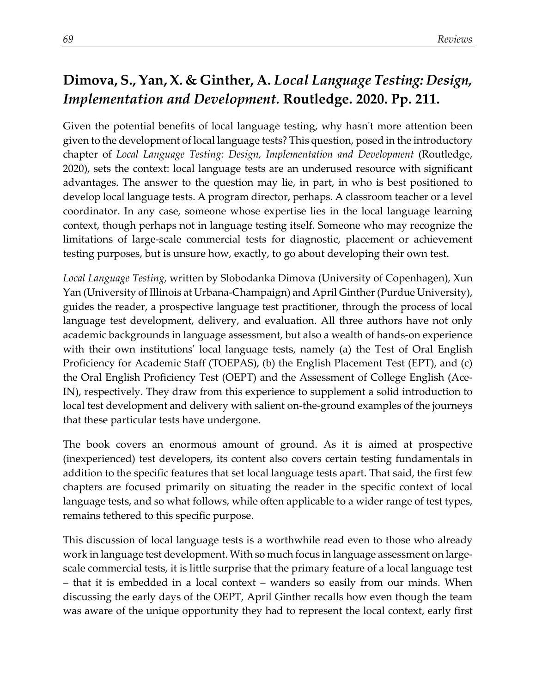## **Dimova, S., Yan, X. & Ginther, A.** *Local Language Testing: Design, Implementation and Development.* **Routledge. 2020. Pp. 211.**

Given the potential benefits of local language testing, why hasn't more attention been given to the development of local language tests? This question, posed in the introductory chapter of *Local Language Testing: Design, Implementation and Development* (Routledge, 2020), sets the context: local language tests are an underused resource with significant advantages. The answer to the question may lie, in part, in who is best positioned to develop local language tests. A program director, perhaps. A classroom teacher or a level coordinator. In any case, someone whose expertise lies in the local language learning context, though perhaps not in language testing itself. Someone who may recognize the limitations of large-scale commercial tests for diagnostic, placement or achievement testing purposes, but is unsure how, exactly, to go about developing their own test.

*Local Language Testing*, written by Slobodanka Dimova (University of Copenhagen), Xun Yan (University of Illinois at Urbana-Champaign) and April Ginther (Purdue University), guides the reader, a prospective language test practitioner, through the process of local language test development, delivery, and evaluation. All three authors have not only academic backgrounds in language assessment, but also a wealth of hands-on experience with their own institutions' local language tests, namely (a) the Test of Oral English Proficiency for Academic Staff (TOEPAS), (b) the English Placement Test (EPT), and (c) the Oral English Proficiency Test (OEPT) and the Assessment of College English (Ace-IN), respectively. They draw from this experience to supplement a solid introduction to local test development and delivery with salient on-the-ground examples of the journeys that these particular tests have undergone.

The book covers an enormous amount of ground. As it is aimed at prospective (inexperienced) test developers, its content also covers certain testing fundamentals in addition to the specific features that set local language tests apart. That said, the first few chapters are focused primarily on situating the reader in the specific context of local language tests, and so what follows, while often applicable to a wider range of test types, remains tethered to this specific purpose.

This discussion of local language tests is a worthwhile read even to those who already work in language test development. With so much focus in language assessment on largescale commercial tests, it is little surprise that the primary feature of a local language test – that it is embedded in a local context – wanders so easily from our minds. When discussing the early days of the OEPT, April Ginther recalls how even though the team was aware of the unique opportunity they had to represent the local context, early first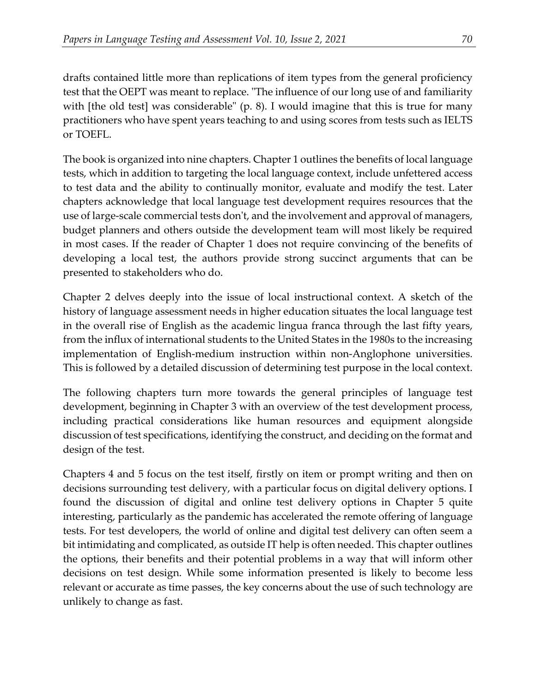drafts contained little more than replications of item types from the general proficiency test that the OEPT was meant to replace. "The influence of our long use of and familiarity with [the old test] was considerable" (p. 8). I would imagine that this is true for many practitioners who have spent years teaching to and using scores from tests such as IELTS or TOEFL.

The book is organized into nine chapters. Chapter 1 outlines the benefits of local language tests, which in addition to targeting the local language context, include unfettered access to test data and the ability to continually monitor, evaluate and modify the test. Later chapters acknowledge that local language test development requires resources that the use of large-scale commercial tests don't, and the involvement and approval of managers, budget planners and others outside the development team will most likely be required in most cases. If the reader of Chapter 1 does not require convincing of the benefits of developing a local test, the authors provide strong succinct arguments that can be presented to stakeholders who do.

Chapter 2 delves deeply into the issue of local instructional context. A sketch of the history of language assessment needs in higher education situates the local language test in the overall rise of English as the academic lingua franca through the last fifty years, from the influx of international students to the United States in the 1980s to the increasing implementation of English-medium instruction within non-Anglophone universities. This is followed by a detailed discussion of determining test purpose in the local context.

The following chapters turn more towards the general principles of language test development, beginning in Chapter 3 with an overview of the test development process, including practical considerations like human resources and equipment alongside discussion of test specifications, identifying the construct, and deciding on the format and design of the test.

Chapters 4 and 5 focus on the test itself, firstly on item or prompt writing and then on decisions surrounding test delivery, with a particular focus on digital delivery options. I found the discussion of digital and online test delivery options in Chapter 5 quite interesting, particularly as the pandemic has accelerated the remote offering of language tests. For test developers, the world of online and digital test delivery can often seem a bit intimidating and complicated, as outside IT help is often needed. This chapter outlines the options, their benefits and their potential problems in a way that will inform other decisions on test design. While some information presented is likely to become less relevant or accurate as time passes, the key concerns about the use of such technology are unlikely to change as fast.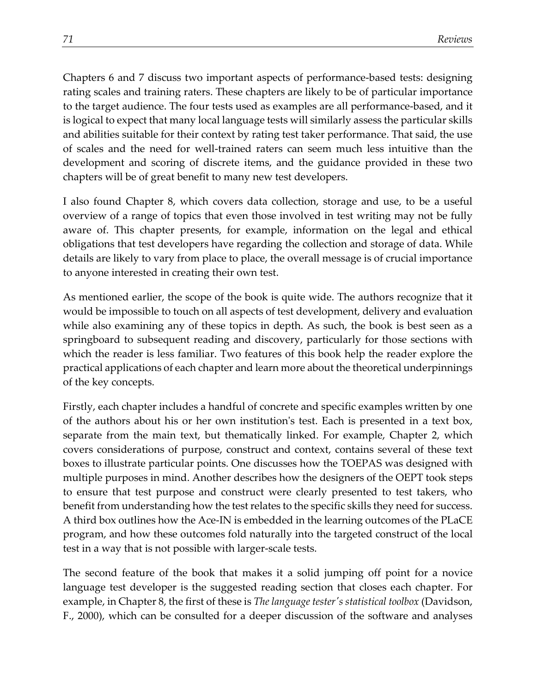Chapters 6 and 7 discuss two important aspects of performance-based tests: designing rating scales and training raters. These chapters are likely to be of particular importance to the target audience. The four tests used as examples are all performance-based, and it is logical to expect that many local language tests will similarly assess the particular skills and abilities suitable for their context by rating test taker performance. That said, the use of scales and the need for well-trained raters can seem much less intuitive than the development and scoring of discrete items, and the guidance provided in these two chapters will be of great benefit to many new test developers.

I also found Chapter 8, which covers data collection, storage and use, to be a useful overview of a range of topics that even those involved in test writing may not be fully aware of. This chapter presents, for example, information on the legal and ethical obligations that test developers have regarding the collection and storage of data. While details are likely to vary from place to place, the overall message is of crucial importance to anyone interested in creating their own test.

As mentioned earlier, the scope of the book is quite wide. The authors recognize that it would be impossible to touch on all aspects of test development, delivery and evaluation while also examining any of these topics in depth. As such, the book is best seen as a springboard to subsequent reading and discovery, particularly for those sections with which the reader is less familiar. Two features of this book help the reader explore the practical applications of each chapter and learn more about the theoretical underpinnings of the key concepts.

Firstly, each chapter includes a handful of concrete and specific examples written by one of the authors about his or her own institution's test. Each is presented in a text box, separate from the main text, but thematically linked. For example, Chapter 2, which covers considerations of purpose, construct and context, contains several of these text boxes to illustrate particular points. One discusses how the TOEPAS was designed with multiple purposes in mind. Another describes how the designers of the OEPT took steps to ensure that test purpose and construct were clearly presented to test takers, who benefit from understanding how the test relates to the specific skills they need for success. A third box outlines how the Ace-IN is embedded in the learning outcomes of the PLaCE program, and how these outcomes fold naturally into the targeted construct of the local test in a way that is not possible with larger-scale tests.

The second feature of the book that makes it a solid jumping off point for a novice language test developer is the suggested reading section that closes each chapter. For example, in Chapter 8, the first of these is *The language tester's statistical toolbox* (Davidson, F., 2000), which can be consulted for a deeper discussion of the software and analyses